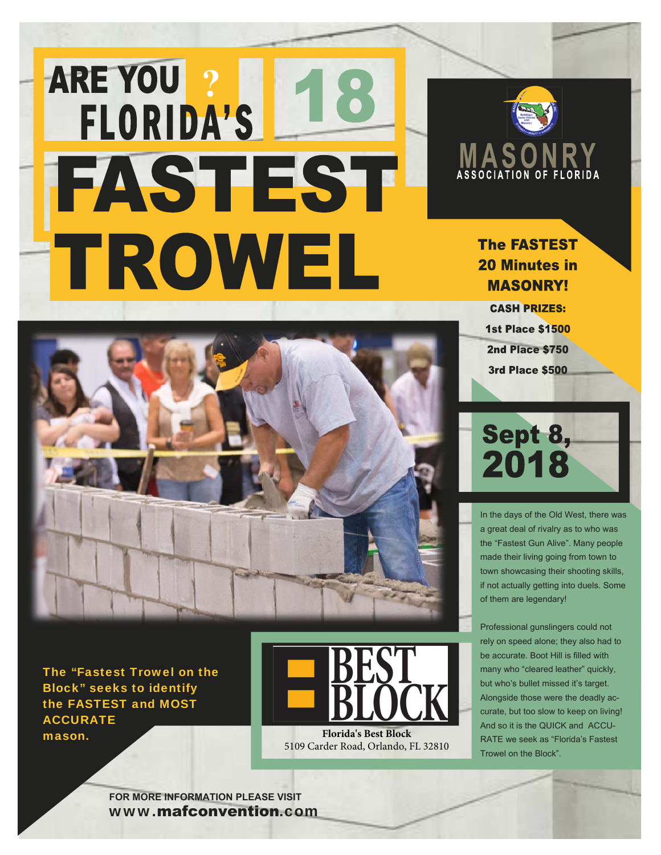## ARE YOU ? FAST EST TROWEL



## **The FASTEST 20 Minutes in MASONRY!**

**CASH PRIZES: 1st Place \$1500** 2nd Place \$750 **3rd Place \$500** 



The "Fastest Trowel on the Block" seeks to identify the FASTEST and MOST **ACCURATE Florida's Best Block** 



5109 Carder Road, Orlando, FL 32810



In the days of the Old West, there was a great deal of rivalry as to who was the "Fastest Gun Alive". Many people made their living going from town to town showcasing their shooting skills, if not actually getting into duels. Some of them are legendary!

Professional gunslingers could not rely on speed alone; they also had to be accurate. Boot Hill is filled with many who "cleared leather" quickly, but who's bullet missed it's target. Alongside those were the deadly accurate, but too slow to keep on living! And so it is the QUICK and ACCU-RATE we seek as "Florida's Fastest Trowel on the Block".

**FOR MORE INFORMATION PI FASE VISIT** www.mafconvention.com